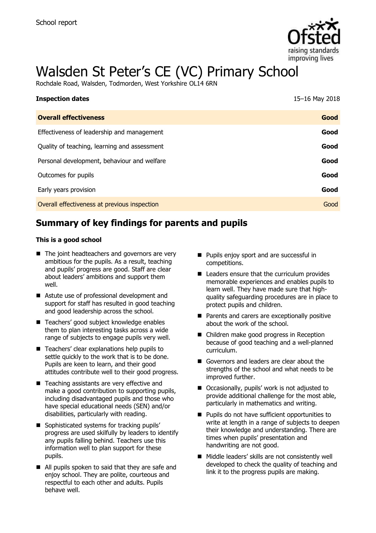

# Walsden St Peter's CE (VC) Primary School

Rochdale Road, Walsden, Todmorden, West Yorkshire OL14 6RN

| <b>Inspection dates</b>                      | 15-16 May 2018 |
|----------------------------------------------|----------------|
| <b>Overall effectiveness</b>                 | Good           |
| Effectiveness of leadership and management   | Good           |
| Quality of teaching, learning and assessment | Good           |
| Personal development, behaviour and welfare  | Good           |
| Outcomes for pupils                          | Good           |
| Early years provision                        | Good           |
| Overall effectiveness at previous inspection | Good           |

# **Summary of key findings for parents and pupils**

#### **This is a good school**

- The joint headteachers and governors are very ambitious for the pupils. As a result, teaching and pupils' progress are good. Staff are clear about leaders' ambitions and support them well.
- Astute use of professional development and support for staff has resulted in good teaching and good leadership across the school.
- Teachers' good subject knowledge enables them to plan interesting tasks across a wide range of subjects to engage pupils very well.
- Teachers' clear explanations help pupils to settle quickly to the work that is to be done. Pupils are keen to learn, and their good attitudes contribute well to their good progress.
- Teaching assistants are very effective and make a good contribution to supporting pupils, including disadvantaged pupils and those who have special educational needs (SEN) and/or disabilities, particularly with reading.
- Sophisticated systems for tracking pupils' progress are used skilfully by leaders to identify any pupils falling behind. Teachers use this information well to plan support for these pupils.
- All pupils spoken to said that they are safe and enjoy school. They are polite, courteous and respectful to each other and adults. Pupils behave well.
- **Pupils enjoy sport and are successful in** competitions.
- Leaders ensure that the curriculum provides memorable experiences and enables pupils to learn well. They have made sure that highquality safeguarding procedures are in place to protect pupils and children.
- **Parents and carers are exceptionally positive** about the work of the school.
- Children make good progress in Reception because of good teaching and a well-planned curriculum.
- Governors and leaders are clear about the strengths of the school and what needs to be improved further.
- Occasionally, pupils' work is not adjusted to provide additional challenge for the most able, particularly in mathematics and writing.
- **Pupils do not have sufficient opportunities to** write at length in a range of subjects to deepen their knowledge and understanding. There are times when pupils' presentation and handwriting are not good.
- Middle leaders' skills are not consistently well developed to check the quality of teaching and link it to the progress pupils are making.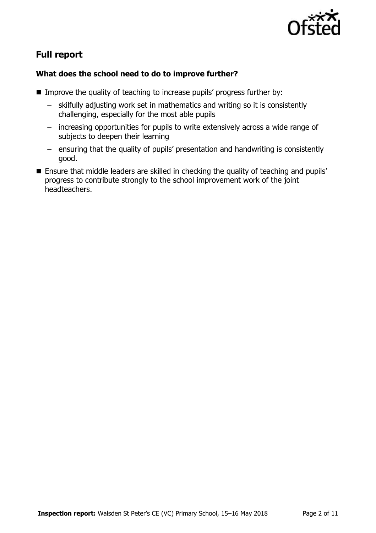

# **Full report**

### **What does the school need to do to improve further?**

- Improve the quality of teaching to increase pupils' progress further by:
	- skilfully adjusting work set in mathematics and writing so it is consistently challenging, especially for the most able pupils
	- increasing opportunities for pupils to write extensively across a wide range of subjects to deepen their learning
	- ensuring that the quality of pupils' presentation and handwriting is consistently good.
- **Ensure that middle leaders are skilled in checking the quality of teaching and pupils'** progress to contribute strongly to the school improvement work of the joint headteachers.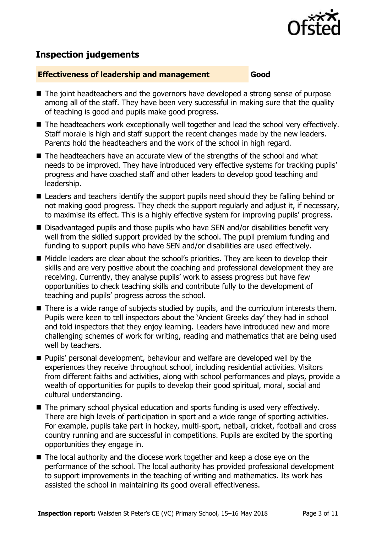

# **Inspection judgements**

#### **Effectiveness of leadership and management Good**

- The joint headteachers and the governors have developed a strong sense of purpose among all of the staff. They have been very successful in making sure that the quality of teaching is good and pupils make good progress.
- The headteachers work exceptionally well together and lead the school very effectively. Staff morale is high and staff support the recent changes made by the new leaders. Parents hold the headteachers and the work of the school in high regard.
- The headteachers have an accurate view of the strengths of the school and what needs to be improved. They have introduced very effective systems for tracking pupils' progress and have coached staff and other leaders to develop good teaching and leadership.
- Leaders and teachers identify the support pupils need should they be falling behind or not making good progress. They check the support regularly and adjust it, if necessary, to maximise its effect. This is a highly effective system for improving pupils' progress.
- Disadvantaged pupils and those pupils who have SEN and/or disabilities benefit very well from the skilled support provided by the school. The pupil premium funding and funding to support pupils who have SEN and/or disabilities are used effectively.
- Middle leaders are clear about the school's priorities. They are keen to develop their skills and are very positive about the coaching and professional development they are receiving. Currently, they analyse pupils' work to assess progress but have few opportunities to check teaching skills and contribute fully to the development of teaching and pupils' progress across the school.
- There is a wide range of subjects studied by pupils, and the curriculum interests them. Pupils were keen to tell inspectors about the 'Ancient Greeks day' they had in school and told inspectors that they enjoy learning. Leaders have introduced new and more challenging schemes of work for writing, reading and mathematics that are being used well by teachers.
- **Pupils'** personal development, behaviour and welfare are developed well by the experiences they receive throughout school, including residential activities. Visitors from different faiths and activities, along with school performances and plays, provide a wealth of opportunities for pupils to develop their good spiritual, moral, social and cultural understanding.
- The primary school physical education and sports funding is used very effectively. There are high levels of participation in sport and a wide range of sporting activities. For example, pupils take part in hockey, multi-sport, netball, cricket, football and cross country running and are successful in competitions. Pupils are excited by the sporting opportunities they engage in.
- The local authority and the diocese work together and keep a close eye on the performance of the school. The local authority has provided professional development to support improvements in the teaching of writing and mathematics. Its work has assisted the school in maintaining its good overall effectiveness.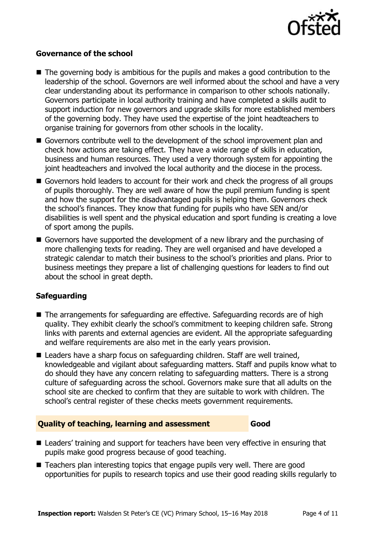

#### **Governance of the school**

- The governing body is ambitious for the pupils and makes a good contribution to the leadership of the school. Governors are well informed about the school and have a very clear understanding about its performance in comparison to other schools nationally. Governors participate in local authority training and have completed a skills audit to support induction for new governors and upgrade skills for more established members of the governing body. They have used the expertise of the joint headteachers to organise training for governors from other schools in the locality.
- Governors contribute well to the development of the school improvement plan and check how actions are taking effect. They have a wide range of skills in education, business and human resources. They used a very thorough system for appointing the joint headteachers and involved the local authority and the diocese in the process.
- Governors hold leaders to account for their work and check the progress of all groups of pupils thoroughly. They are well aware of how the pupil premium funding is spent and how the support for the disadvantaged pupils is helping them. Governors check the school's finances. They know that funding for pupils who have SEN and/or disabilities is well spent and the physical education and sport funding is creating a love of sport among the pupils.
- Governors have supported the development of a new library and the purchasing of more challenging texts for reading. They are well organised and have developed a strategic calendar to match their business to the school's priorities and plans. Prior to business meetings they prepare a list of challenging questions for leaders to find out about the school in great depth.

### **Safeguarding**

- The arrangements for safeguarding are effective. Safeguarding records are of high quality. They exhibit clearly the school's commitment to keeping children safe. Strong links with parents and external agencies are evident. All the appropriate safeguarding and welfare requirements are also met in the early years provision.
- Leaders have a sharp focus on safeguarding children. Staff are well trained, knowledgeable and vigilant about safeguarding matters. Staff and pupils know what to do should they have any concern relating to safeguarding matters. There is a strong culture of safeguarding across the school. Governors make sure that all adults on the school site are checked to confirm that they are suitable to work with children. The school's central register of these checks meets government requirements.

#### **Quality of teaching, learning and assessment Good**

- Leaders' training and support for teachers have been very effective in ensuring that pupils make good progress because of good teaching.
- Teachers plan interesting topics that engage pupils very well. There are good opportunities for pupils to research topics and use their good reading skills regularly to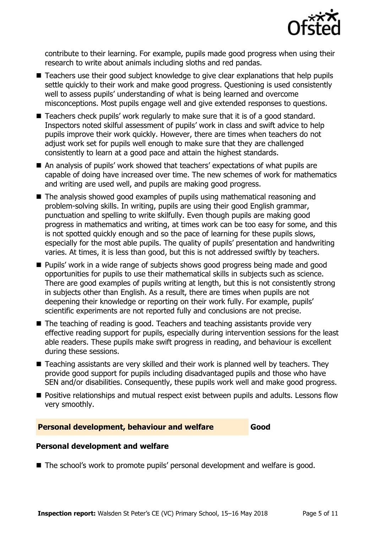

contribute to their learning. For example, pupils made good progress when using their research to write about animals including sloths and red pandas.

- Teachers use their good subject knowledge to give clear explanations that help pupils settle quickly to their work and make good progress. Questioning is used consistently well to assess pupils' understanding of what is being learned and overcome misconceptions. Most pupils engage well and give extended responses to questions.
- Teachers check pupils' work regularly to make sure that it is of a good standard. Inspectors noted skilful assessment of pupils' work in class and swift advice to help pupils improve their work quickly. However, there are times when teachers do not adjust work set for pupils well enough to make sure that they are challenged consistently to learn at a good pace and attain the highest standards.
- An analysis of pupils' work showed that teachers' expectations of what pupils are capable of doing have increased over time. The new schemes of work for mathematics and writing are used well, and pupils are making good progress.
- The analysis showed good examples of pupils using mathematical reasoning and problem-solving skills. In writing, pupils are using their good English grammar, punctuation and spelling to write skilfully. Even though pupils are making good progress in mathematics and writing, at times work can be too easy for some, and this is not spotted quickly enough and so the pace of learning for these pupils slows, especially for the most able pupils. The quality of pupils' presentation and handwriting varies. At times, it is less than good, but this is not addressed swiftly by teachers.
- **Pupils' work in a wide range of subjects shows good progress being made and good** opportunities for pupils to use their mathematical skills in subjects such as science. There are good examples of pupils writing at length, but this is not consistently strong in subjects other than English. As a result, there are times when pupils are not deepening their knowledge or reporting on their work fully. For example, pupils' scientific experiments are not reported fully and conclusions are not precise.
- The teaching of reading is good. Teachers and teaching assistants provide very effective reading support for pupils, especially during intervention sessions for the least able readers. These pupils make swift progress in reading, and behaviour is excellent during these sessions.
- Teaching assistants are very skilled and their work is planned well by teachers. They provide good support for pupils including disadvantaged pupils and those who have SEN and/or disabilities. Consequently, these pupils work well and make good progress.
- **Positive relationships and mutual respect exist between pupils and adults. Lessons flow** very smoothly.

#### **Personal development, behaviour and welfare Good**

#### **Personal development and welfare**

The school's work to promote pupils' personal development and welfare is good.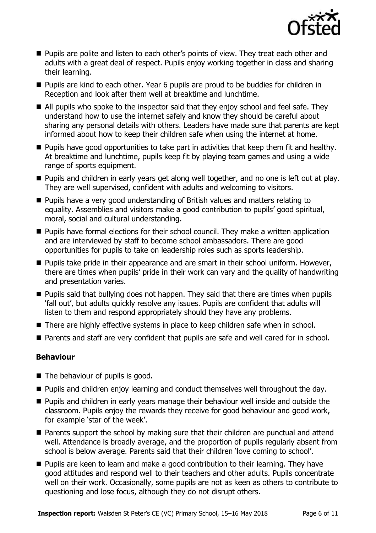

- **Pupils are polite and listen to each other's points of view. They treat each other and** adults with a great deal of respect. Pupils enjoy working together in class and sharing their learning.
- **Pupils are kind to each other. Year 6 pupils are proud to be buddies for children in** Reception and look after them well at breaktime and lunchtime.
- All pupils who spoke to the inspector said that they enjoy school and feel safe. They understand how to use the internet safely and know they should be careful about sharing any personal details with others. Leaders have made sure that parents are kept informed about how to keep their children safe when using the internet at home.
- **Pupils have good opportunities to take part in activities that keep them fit and healthy.** At breaktime and lunchtime, pupils keep fit by playing team games and using a wide range of sports equipment.
- **Pupils and children in early years get along well together, and no one is left out at play.** They are well supervised, confident with adults and welcoming to visitors.
- **Pupils have a very good understanding of British values and matters relating to** equality. Assemblies and visitors make a good contribution to pupils' good spiritual, moral, social and cultural understanding.
- **Pupils have formal elections for their school council. They make a written application** and are interviewed by staff to become school ambassadors. There are good opportunities for pupils to take on leadership roles such as sports leadership.
- **Pupils take pride in their appearance and are smart in their school uniform. However,** there are times when pupils' pride in their work can vary and the quality of handwriting and presentation varies.
- **Pupils said that bullying does not happen. They said that there are times when pupils** 'fall out', but adults quickly resolve any issues. Pupils are confident that adults will listen to them and respond appropriately should they have any problems.
- There are highly effective systems in place to keep children safe when in school.
- **Parents and staff are very confident that pupils are safe and well cared for in school.**

### **Behaviour**

- The behaviour of pupils is good.
- **Pupils and children enjoy learning and conduct themselves well throughout the day.**
- **Pupils and children in early years manage their behaviour well inside and outside the** classroom. Pupils enjoy the rewards they receive for good behaviour and good work, for example 'star of the week'.
- Parents support the school by making sure that their children are punctual and attend well. Attendance is broadly average, and the proportion of pupils regularly absent from school is below average. Parents said that their children 'love coming to school'.
- **Pupils are keen to learn and make a good contribution to their learning. They have** good attitudes and respond well to their teachers and other adults. Pupils concentrate well on their work. Occasionally, some pupils are not as keen as others to contribute to questioning and lose focus, although they do not disrupt others.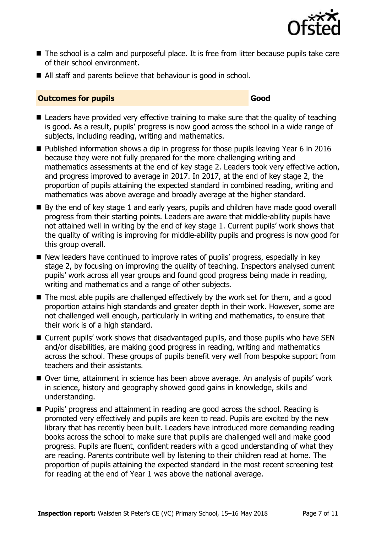

- The school is a calm and purposeful place. It is free from litter because pupils take care of their school environment.
- All staff and parents believe that behaviour is good in school.

#### **Outcomes for pupils Good**

- Leaders have provided very effective training to make sure that the quality of teaching is good. As a result, pupils' progress is now good across the school in a wide range of subjects, including reading, writing and mathematics.
- Published information shows a dip in progress for those pupils leaving Year 6 in 2016 because they were not fully prepared for the more challenging writing and mathematics assessments at the end of key stage 2. Leaders took very effective action, and progress improved to average in 2017. In 2017, at the end of key stage 2, the proportion of pupils attaining the expected standard in combined reading, writing and mathematics was above average and broadly average at the higher standard.
- By the end of key stage 1 and early years, pupils and children have made good overall progress from their starting points. Leaders are aware that middle-ability pupils have not attained well in writing by the end of key stage 1. Current pupils' work shows that the quality of writing is improving for middle-ability pupils and progress is now good for this group overall.
- New leaders have continued to improve rates of pupils' progress, especially in key stage 2, by focusing on improving the quality of teaching. Inspectors analysed current pupils' work across all year groups and found good progress being made in reading, writing and mathematics and a range of other subjects.
- $\blacksquare$  The most able pupils are challenged effectively by the work set for them, and a good proportion attains high standards and greater depth in their work. However, some are not challenged well enough, particularly in writing and mathematics, to ensure that their work is of a high standard.
- Current pupils' work shows that disadvantaged pupils, and those pupils who have SEN and/or disabilities, are making good progress in reading, writing and mathematics across the school. These groups of pupils benefit very well from bespoke support from teachers and their assistants.
- Over time, attainment in science has been above average. An analysis of pupils' work in science, history and geography showed good gains in knowledge, skills and understanding.
- **Pupils' progress and attainment in reading are good across the school. Reading is** promoted very effectively and pupils are keen to read. Pupils are excited by the new library that has recently been built. Leaders have introduced more demanding reading books across the school to make sure that pupils are challenged well and make good progress. Pupils are fluent, confident readers with a good understanding of what they are reading. Parents contribute well by listening to their children read at home. The proportion of pupils attaining the expected standard in the most recent screening test for reading at the end of Year 1 was above the national average.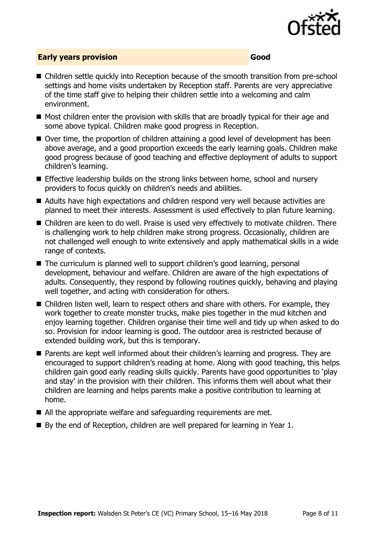

### **Early years provision Good**

- Children settle quickly into Reception because of the smooth transition from pre-school settings and home visits undertaken by Reception staff. Parents are very appreciative of the time staff give to helping their children settle into a welcoming and calm environment.
- Most children enter the provision with skills that are broadly typical for their age and some above typical. Children make good progress in Reception.
- Over time, the proportion of children attaining a good level of development has been above average, and a good proportion exceeds the early learning goals. Children make good progress because of good teaching and effective deployment of adults to support children's learning.
- **Effective leadership builds on the strong links between home, school and nursery** providers to focus quickly on children's needs and abilities.
- Adults have high expectations and children respond very well because activities are planned to meet their interests. Assessment is used effectively to plan future learning.
- Children are keen to do well. Praise is used very effectively to motivate children. There is challenging work to help children make strong progress. Occasionally, children are not challenged well enough to write extensively and apply mathematical skills in a wide range of contexts.
- The curriculum is planned well to support children's good learning, personal development, behaviour and welfare. Children are aware of the high expectations of adults. Consequently, they respond by following routines quickly, behaving and playing well together, and acting with consideration for others.
- Children listen well, learn to respect others and share with others. For example, they work together to create monster trucks, make pies together in the mud kitchen and enjoy learning together. Children organise their time well and tidy up when asked to do so. Provision for indoor learning is good. The outdoor area is restricted because of extended building work, but this is temporary.
- Parents are kept well informed about their children's learning and progress. They are encouraged to support children's reading at home. Along with good teaching, this helps children gain good early reading skills quickly. Parents have good opportunities to 'play and stay' in the provision with their children. This informs them well about what their children are learning and helps parents make a positive contribution to learning at home.
- All the appropriate welfare and safeguarding requirements are met.
- By the end of Reception, children are well prepared for learning in Year 1.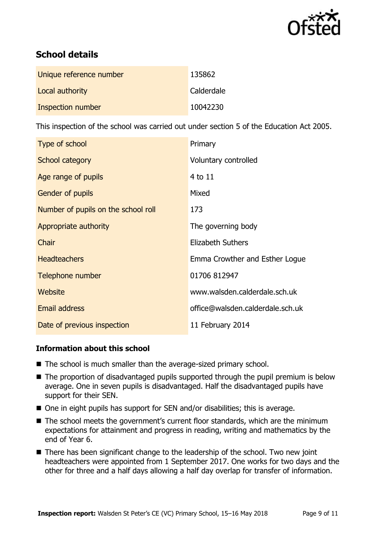

# **School details**

| Unique reference number | 135862     |
|-------------------------|------------|
| Local authority         | Calderdale |
| Inspection number       | 10042230   |

This inspection of the school was carried out under section 5 of the Education Act 2005.

| Type of school                      | Primary                          |
|-------------------------------------|----------------------------------|
| School category                     | Voluntary controlled             |
| Age range of pupils                 | 4 to 11                          |
| <b>Gender of pupils</b>             | Mixed                            |
| Number of pupils on the school roll | 173                              |
| Appropriate authority               | The governing body               |
| Chair                               | <b>Elizabeth Suthers</b>         |
| <b>Headteachers</b>                 | Emma Crowther and Esther Logue   |
| Telephone number                    | 01706 812947                     |
| Website                             | www.walsden.calderdale.sch.uk    |
| <b>Email address</b>                | office@walsden.calderdale.sch.uk |
| Date of previous inspection         | 11 February 2014                 |

### **Information about this school**

- The school is much smaller than the average-sized primary school.
- The proportion of disadvantaged pupils supported through the pupil premium is below average. One in seven pupils is disadvantaged. Half the disadvantaged pupils have support for their SEN.
- One in eight pupils has support for SEN and/or disabilities; this is average.
- The school meets the government's current floor standards, which are the minimum expectations for attainment and progress in reading, writing and mathematics by the end of Year 6.
- There has been significant change to the leadership of the school. Two new joint headteachers were appointed from 1 September 2017. One works for two days and the other for three and a half days allowing a half day overlap for transfer of information.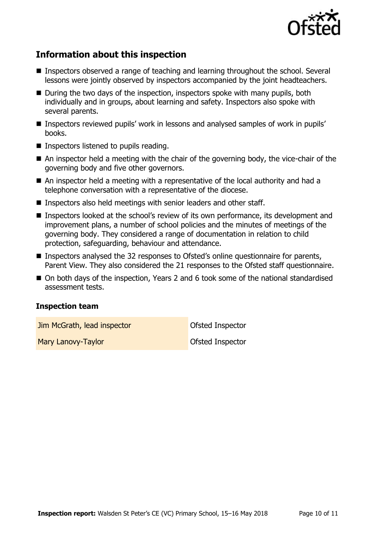

# **Information about this inspection**

- Inspectors observed a range of teaching and learning throughout the school. Several lessons were jointly observed by inspectors accompanied by the joint headteachers.
- During the two days of the inspection, inspectors spoke with many pupils, both individually and in groups, about learning and safety. Inspectors also spoke with several parents.
- Inspectors reviewed pupils' work in lessons and analysed samples of work in pupils' books.
- Inspectors listened to pupils reading.
- An inspector held a meeting with the chair of the governing body, the vice-chair of the governing body and five other governors.
- An inspector held a meeting with a representative of the local authority and had a telephone conversation with a representative of the diocese.
- **Inspectors also held meetings with senior leaders and other staff.**
- Inspectors looked at the school's review of its own performance, its development and improvement plans, a number of school policies and the minutes of meetings of the governing body. They considered a range of documentation in relation to child protection, safeguarding, behaviour and attendance.
- Inspectors analysed the 32 responses to Ofsted's online questionnaire for parents, Parent View. They also considered the 21 responses to the Ofsted staff questionnaire.
- On both days of the inspection, Years 2 and 6 took some of the national standardised assessment tests.

#### **Inspection team**

**Jim McGrath, lead inspector Construction Construction Construction Construction** 

Mary Lanovy-Taylor Christian Control of Christian Control Of Sted Inspector